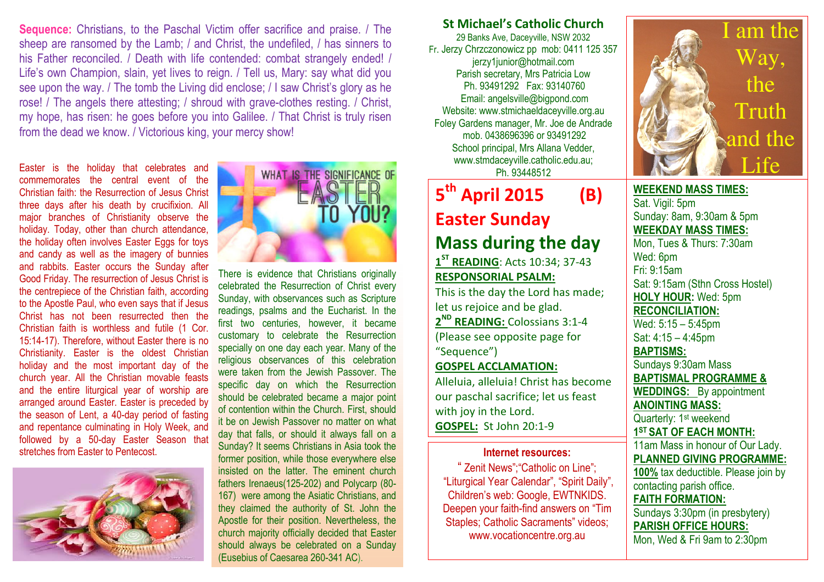Sequence: Christians, to the Paschal Victim offer sacrifice and praise. / The sheep are ransomed by the Lamb; / and Christ, the undefiled, / has sinners to his Father reconciled. / Death with life contended: combat strangely ended! / Life's own Champion, slain, yet lives to reign. / Tell us, Mary: say what did you see upon the way. / The tomb the Living did enclose; / I saw Christ's glory as he rose! / The angels there attesting; / shroud with grave-clothes resting. / Christ, my hope, has risen: he goes before you into Galilee. / That Christ is truly risen from the dead we know. / Victorious king, your mercy show!

Easter is the holiday that celebrates and commemorates the central event of the Christian faith: the Resurrection of Jesus Christ three days after his death by crucifixion. All major branches of Christianity observe the holiday. Today, other than church attendance, the holiday often involves Easter Eggs for toys and candy as well as the imagery of bunnies and rabbits. Easter occurs the Sunday after Good Friday. The resurrection of Jesus Christ is the centrepiece of the Christian faith, according to the Apostle Paul, who even says that if Jesus Christ has not been resurrected then the Christian faith is worthless and futile (1 Cor. 15:14-17). Therefore, without Easter there is no Christianity. Easter is the oldest Christian holiday and the most important day of the church year. All the Christian movable feasts and the entire liturgical year of worship are arranged around Easter. Easter is preceded by the season of Lent, a 40-day period of fasting and repentance culminating in Holy Week, and followed by a 50-day Easter Season that stretches from Easter to Pentecost.





There is evidence that Christians originally celebrated the Resurrection of Christ every Sunday, with observances such as Scripture readings, psalms and the Eucharist. In the first two centuries, however, it became customary to celebrate the Resurrection specially on one day each year. Many of the religious observances of this celebration were taken from the Jewish Passover. The specific day on which the Resurrection should be celebrated became a major point of contention within the Church. First, should it be on Jewish Passover no matter on what day that falls, or should it always fall on a Sunday? It seems Christians in Asia took the former position, while those everywhere else insisted on the latter. The eminent church fathers Irenaeus(125-202) and Polycarp (80- 167) were among the Asiatic Christians, and they claimed the authority of St. John the Apostle for their position. Nevertheless, the church majority officially decided that Easter should always be celebrated on a Sunday (Eusebius of Caesarea 260-341 AC).

## St Michael's Catholic Church

29 Banks Ave, Daceyville, NSW 2032 Fr. Jerzy Chrzczonowicz pp mob: 0411 125 357 jerzy1junior@hotmail.com Parish secretary, Mrs Patricia Low Ph. 93491292 Fax: 93140760 Email: angelsville@bigpond.com Website: www.stmichaeldaceyville.org.au Foley Gardens manager, Mr. Joe de Andrade mob. 0438696396 or 93491292 School principal, Mrs Allana Vedder, www.stmdaceyville.catholic.edu.au; Ph. 93448512

# 5<sup>th</sup> April 2015 (B) Easter Sunday Mass during the day

 $1<sup>ST</sup>$  READING: Acts 10:34; 37-43 RESPONSORIAL PSALM: This is the day the Lord has made;

let us rejoice and be glad. 2<sup>ND</sup> READING: Colossians 3:1-4 (Please see opposite page for "Sequence")

## GOSPEL ACCLAMATION:

Alleluia, alleluia! Christ has become our paschal sacrifice; let us feast with joy in the Lord. GOSPEL: St John 20:1-9

#### Internet resources:

" Zenit News";"Catholic on Line"; "Liturgical Year Calendar", "Spirit Daily", Children's web: Google, EWTNKIDS. Deepen your faith-find answers on "Tim Staples; Catholic Sacraments" videos; www.vocationcentre.org.au



WEEKEND MASS TIMES:Sat. Vigil: 5pm Sunday: 8am, 9:30am & 5pm WEEKDAY MASS TIMES: Mon, Tues & Thurs: 7:30am Wed: 6pm Fri: 9:15am Sat: 9:15am (Sthn Cross Hostel) HOLY HOUR: Wed: 5pm RECONCILIATION: Wed: 5:15 – 5:45pm Sat: 4:15 – 4:45pm BAPTISMS: Sundays 9:30am Mass BAPTISMAL PROGRAMME & WEDDINGS: By appointment ANOINTING MASS: Quarterly: 1<sup>st</sup> weekend 1<sup>ST</sup> SAT OF EACH MONTH: 11am Mass in honour of Our Lady. PLANNED GIVING PROGRAMME: 100% tax deductible. Please join by contacting parish office. FAITH FORMATION:

 Sundays 3:30pm (in presbytery) PARISH OFFICE HOURS: Mon, Wed & Fri 9am to 2:30pm